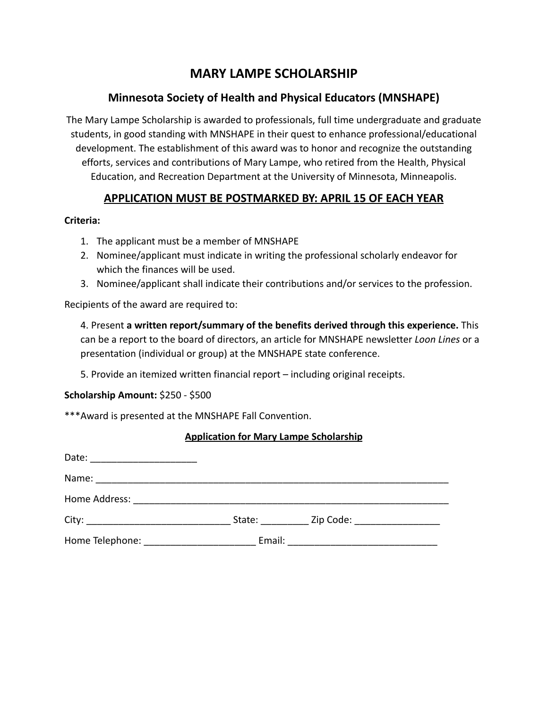# **MARY LAMPE SCHOLARSHIP**

## **Minnesota Society of Health and Physical Educators (MNSHAPE)**

The Mary Lampe Scholarship is awarded to professionals, full time undergraduate and graduate students, in good standing with MNSHAPE in their quest to enhance professional/educational development. The establishment of this award was to honor and recognize the outstanding efforts, services and contributions of Mary Lampe, who retired from the Health, Physical Education, and Recreation Department at the University of Minnesota, Minneapolis.

### **APPLICATION MUST BE POSTMARKED BY: APRIL 15 OF EACH YEAR**

#### **Criteria:**

- 1. The applicant must be a member of MNSHAPE
- 2. Nominee/applicant must indicate in writing the professional scholarly endeavor for which the finances will be used.
- 3. Nominee/applicant shall indicate their contributions and/or services to the profession.

Recipients of the award are required to:

4. Present **a written report/summary of the benefits derived through this experience.** This can be a report to the board of directors, an article for MNSHAPE newsletter *Loon Lines* or a presentation (individual or group) at the MNSHAPE state conference.

5. Provide an itemized written financial report – including original receipts.

#### **Scholarship Amount:** \$250 - \$500

\*\*\*Award is presented at the MNSHAPE Fall Convention.

#### **Application for Mary Lampe Scholarship**

| Date:                                                                                                                          |        |                                                                                                                 |  |
|--------------------------------------------------------------------------------------------------------------------------------|--------|-----------------------------------------------------------------------------------------------------------------|--|
| Name:<br><u> 1980 - Jan Barbara, martin da shekara tsa na shekara tsa 1980 a 1981 a tsa 1981 a tsa 1981 a tsa 1981 a tsa 1</u> |        |                                                                                                                 |  |
| Home Address:                                                                                                                  |        |                                                                                                                 |  |
| City:                                                                                                                          | State: | Zip Code: The Collection of the Collection of the Collection of the Collection of the Collection of the Collect |  |
| Home Telephone:                                                                                                                | Email: |                                                                                                                 |  |